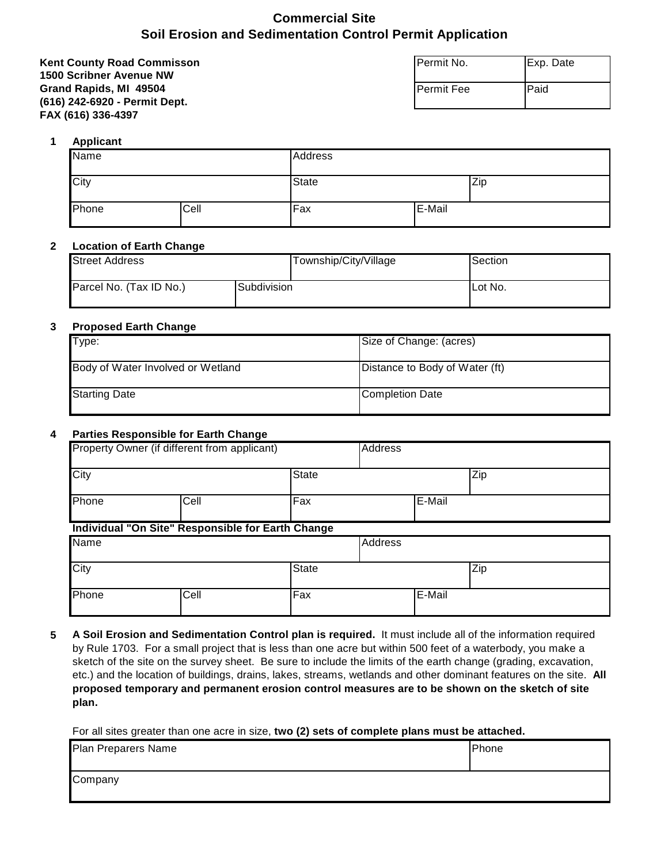## **Commercial Site Soil Erosion and Sedimentation Control Permit Application**

| <b>Kent County Road Commisson</b> | Permit No.          | Exp. Date |
|-----------------------------------|---------------------|-----------|
| <b>1500 Scribner Avenue NW</b>    |                     |           |
| Grand Rapids, MI 49504            | <b>I</b> Permit Fee | Paid      |
| (616) 242-6920 - Permit Dept.     |                     |           |
| FAX (616) 336-4397                |                     |           |

#### **1 Applicant**

| Name  |      | Address      |        |  |
|-------|------|--------------|--------|--|
| City  |      | <b>State</b> | Zip    |  |
| Phone | Cell | Fax          | E-Mail |  |

## **2 Location of Earth Change**

| <b>Street Address</b>   | Township/City/Village | Section |
|-------------------------|-----------------------|---------|
| Parcel No. (Tax ID No.) | 'Subdivision          | Lot No. |

#### **3 Proposed Earth Change**

| Type:                             | Size of Change: (acres)        |
|-----------------------------------|--------------------------------|
| Body of Water Involved or Wetland | Distance to Body of Water (ft) |
| <b>Starting Date</b>              | Completion Date                |

#### **4 Parties Responsible for Earth Change**

|             | Property Owner (if different from applicant)             |              | <b>Address</b> |        |  |
|-------------|----------------------------------------------------------|--------------|----------------|--------|--|
| City        |                                                          | <b>State</b> |                | Zip    |  |
| Phone       | Cell                                                     | Fax          |                | E-Mail |  |
|             | <b>Individual "On Site" Responsible for Earth Change</b> |              |                |        |  |
| <b>Name</b> |                                                          |              | <b>Address</b> |        |  |
| City        |                                                          | <b>State</b> |                | Zip    |  |
| Phone       | Cell                                                     | Fax          |                | E-Mail |  |

**5 A Soil Erosion and Sedimentation Control plan is required.** It must include all of the information required by Rule 1703. For a small project that is less than one acre but within 500 feet of a waterbody, you make a sketch of the site on the survey sheet. Be sure to include the limits of the earth change (grading, excavation, etc.) and the location of buildings, drains, lakes, streams, wetlands and other dominant features on the site. **All proposed temporary and permanent erosion control measures are to be shown on the sketch of site plan.**

For all sites greater than one acre in size, **two (2) sets of complete plans must be attached.** 

| Plan Preparers Name | Phone |
|---------------------|-------|
| Company             |       |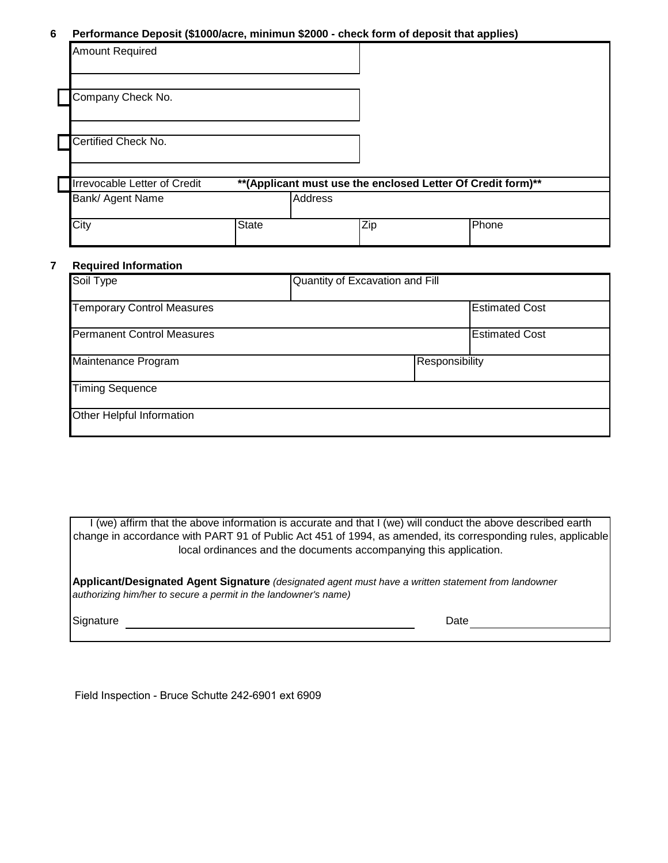#### **6 Performance Deposit (\$1000/acre, minimun \$2000 - check form of deposit that applies)**

| <b>Amount Required</b>                                  |       |                |                                                              |       |
|---------------------------------------------------------|-------|----------------|--------------------------------------------------------------|-------|
| Company Check No.                                       |       |                |                                                              |       |
| Certified Check No.                                     |       |                |                                                              |       |
| <b>Irrevocable Letter of Credit</b><br>Bank/ Agent Name |       | <b>Address</b> | ** (Applicant must use the enclosed Letter Of Credit form)** |       |
| City                                                    | State |                | Zip                                                          | Phone |

#### **7 Required Information**

| Soil Type                         | Quantity of Excavation and Fill |                       |
|-----------------------------------|---------------------------------|-----------------------|
| <b>Temporary Control Measures</b> |                                 | <b>Estimated Cost</b> |
| <b>Permanent Control Measures</b> |                                 | <b>Estimated Cost</b> |
| Maintenance Program               | Responsibility                  |                       |
| <b>Timing Sequence</b>            |                                 |                       |
| Other Helpful Information         |                                 |                       |

I (we) affirm that the above information is accurate and that I (we) will conduct the above described earth change in accordance with PART 91 of Public Act 451 of 1994, as amended, its corresponding rules, applicable local ordinances and the documents accompanying this application.

**Applicant/Designated Agent Signature** *(designated agent must have a written statement from landowner authorizing him/her to secure a permit in the landowner's name)*

Signature Date

Field Inspection - Bruce Schutte 242-6901 ext 6909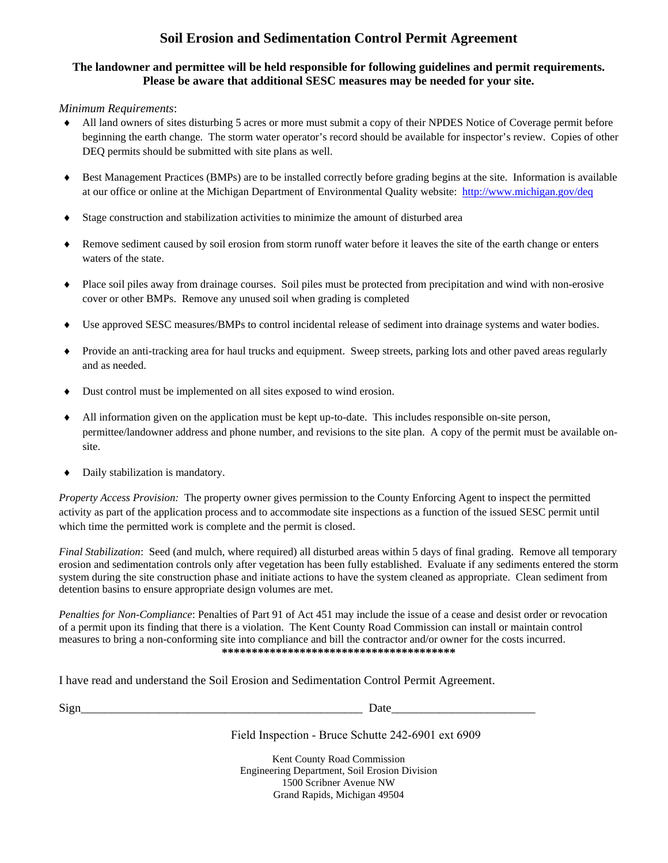# **Soil Erosion and Sedimentation Control Permit Agreement**

## **The landowner and permittee will be held responsible for following guidelines and permit requirements. Please be aware that additional SESC measures may be needed for your site.**

#### *Minimum Requirements*:

- All land owners of sites disturbing 5 acres or more must submit a copy of their NPDES Notice of Coverage permit before beginning the earth change. The storm water operator's record should be available for inspector's review. Copies of other DEQ permits should be submitted with site plans as well.
- Best Management Practices (BMPs) are to be installed correctly before grading begins at the site. Information is available at our office or online at the Michigan Department of Environmental Quality website: http://www.michigan.gov/deq
- Stage construction and stabilization activities to minimize the amount of disturbed area
- Remove sediment caused by soil erosion from storm runoff water before it leaves the site of the earth change or enters waters of the state.
- Place soil piles away from drainage courses. Soil piles must be protected from precipitation and wind with non-erosive cover or other BMPs. Remove any unused soil when grading is completed
- Use approved SESC measures/BMPs to control incidental release of sediment into drainage systems and water bodies.
- Provide an anti-tracking area for haul trucks and equipment. Sweep streets, parking lots and other paved areas regularly and as needed.
- Dust control must be implemented on all sites exposed to wind erosion.
- All information given on the application must be kept up-to-date. This includes responsible on-site person, permittee/landowner address and phone number, and revisions to the site plan. A copy of the permit must be available onsite.
- Daily stabilization is mandatory.

*Property Access Provision:* The property owner gives permission to the County Enforcing Agent to inspect the permitted activity as part of the application process and to accommodate site inspections as a function of the issued SESC permit until which time the permitted work is complete and the permit is closed.

*Final Stabilization*: Seed (and mulch, where required) all disturbed areas within 5 days of final grading. Remove all temporary erosion and sedimentation controls only after vegetation has been fully established. Evaluate if any sediments entered the storm system during the site construction phase and initiate actions to have the system cleaned as appropriate. Clean sediment from detention basins to ensure appropriate design volumes are met.

*Penalties for Non-Compliance*: Penalties of Part 91 of Act 451 may include the issue of a cease and desist order or revocation of a permit upon its finding that there is a violation. The Kent County Road Commission can install or maintain control measures to bring a non-conforming site into compliance and bill the contractor and/or owner for the costs incurred. **\*\*\*\*\*\*\*\*\*\*\*\*\*\*\*\*\*\*\*\*\*\*\*\*\*\*\*\*\*\*\*\*\*\*\*\*\*\*\***

I have read and understand the Soil Erosion and Sedimentation Control Permit Agreement.

| . .<br>۰. |  |
|-----------|--|

 $Sign$   $\frac{1}{2}$   $\frac{1}{2}$   $\frac{1}{2}$   $\frac{1}{2}$   $\frac{1}{2}$   $\frac{1}{2}$   $\frac{1}{2}$   $\frac{1}{2}$   $\frac{1}{2}$   $\frac{1}{2}$   $\frac{1}{2}$   $\frac{1}{2}$   $\frac{1}{2}$   $\frac{1}{2}$   $\frac{1}{2}$   $\frac{1}{2}$   $\frac{1}{2}$   $\frac{1}{2}$   $\frac{1}{2}$   $\frac{1}{2}$   $\frac{1}{2}$   $\frac{1}{2$ 

Field Inspection - Bruce Schutte 242-6901 ext 6909

Kent County Road Commission Engineering Department, Soil Erosion Division 1500 Scribner Avenue NW Grand Rapids, Michigan 49504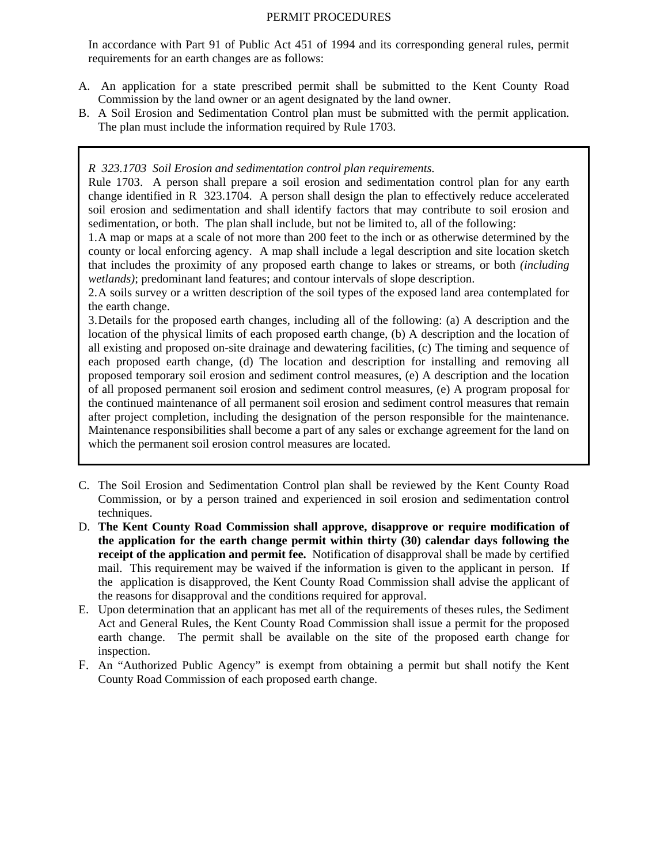#### PERMIT PROCEDURES

In accordance with Part 91 of Public Act 451 of 1994 and its corresponding general rules, permit requirements for an earth changes are as follows:

- A. An application for a state prescribed permit shall be submitted to the Kent County Road Commission by the land owner or an agent designated by the land owner.
- B. A Soil Erosion and Sedimentation Control plan must be submitted with the permit application. The plan must include the information required by Rule 1703.

#### *R 323.1703 Soil Erosion and sedimentation control plan requirements.*

Rule 1703. A person shall prepare a soil erosion and sedimentation control plan for any earth change identified in R 323.1704. A person shall design the plan to effectively reduce accelerated soil erosion and sedimentation and shall identify factors that may contribute to soil erosion and sedimentation, or both. The plan shall include, but not be limited to, all of the following:

1. A map or maps at a scale of not more than 200 feet to the inch or as otherwise determined by the county or local enforcing agency. A map shall include a legal description and site location sketch that includes the proximity of any proposed earth change to lakes or streams, or both *(including wetlands)*; predominant land features; and contour intervals of slope description.

2. A soils survey or a written description of the soil types of the exposed land area contemplated for the earth change.

3. Details for the proposed earth changes, including all of the following: (a) A description and the location of the physical limits of each proposed earth change, (b) A description and the location of all existing and proposed on-site drainage and dewatering facilities, (c) The timing and sequence of each proposed earth change, (d) The location and description for installing and removing all proposed temporary soil erosion and sediment control measures, (e) A description and the location of all proposed permanent soil erosion and sediment control measures, (e) A program proposal for the continued maintenance of all permanent soil erosion and sediment control measures that remain after project completion, including the designation of the person responsible for the maintenance. Maintenance responsibilities shall become a part of any sales or exchange agreement for the land on which the permanent soil erosion control measures are located.

- C. The Soil Erosion and Sedimentation Control plan shall be reviewed by the Kent County Road Commission, or by a person trained and experienced in soil erosion and sedimentation control techniques.
- D. **The Kent County Road Commission shall approve, disapprove or require modification of the application for the earth change permit within thirty (30) calendar days following the receipt of the application and permit fee.** Notification of disapproval shall be made by certified mail. This requirement may be waived if the information is given to the applicant in person. If the application is disapproved, the Kent County Road Commission shall advise the applicant of the reasons for disapproval and the conditions required for approval.
- E. Upon determination that an applicant has met all of the requirements of theses rules, the Sediment Act and General Rules, the Kent County Road Commission shall issue a permit for the proposed earth change. The permit shall be available on the site of the proposed earth change for inspection.
- F. An "Authorized Public Agency" is exempt from obtaining a permit but shall notify the Kent County Road Commission of each proposed earth change.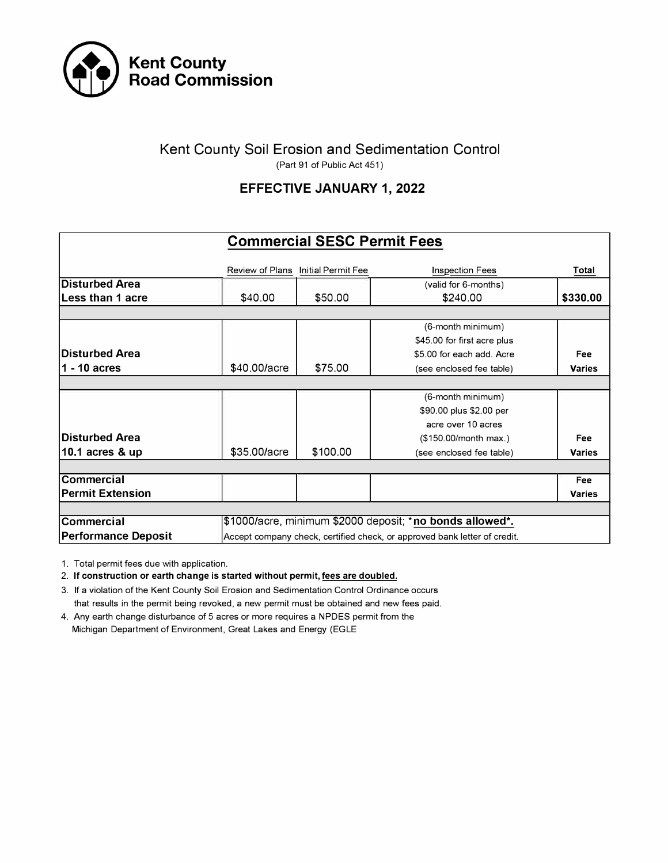

## Kent County Soil Erosion and Sedimentation Control (Part 91 of Public Act 451)

# **EFFECTIVE JANUARY 1, 2022**

|                            |                        | <b>Commercial SESC Permit Fees</b> |                                                                           |               |
|----------------------------|------------------------|------------------------------------|---------------------------------------------------------------------------|---------------|
|                            | <b>Review of Plans</b> | Initial Permit Fee                 | <b>Inspection Fees</b>                                                    | Total         |
| <b>Disturbed Area</b>      |                        |                                    | (valid for 6-months)                                                      |               |
| Less than 1 acre           | \$40.00                | \$50.00                            | \$240.00                                                                  | \$330.00      |
|                            |                        |                                    |                                                                           |               |
|                            |                        |                                    | (6-month minimum)                                                         |               |
|                            |                        |                                    | \$45.00 for first acre plus                                               |               |
| <b>Disturbed Area</b>      |                        |                                    | \$5.00 for each add. Acre                                                 | Fee           |
| $1 - 10$ acres             | \$40,00/acre           | \$75.00                            | (see enclosed fee table)                                                  | <b>Varies</b> |
|                            |                        |                                    |                                                                           |               |
|                            |                        |                                    | (6-month minimum)                                                         |               |
|                            |                        |                                    | \$90.00 plus \$2.00 per                                                   |               |
|                            |                        |                                    | acre over 10 acres                                                        |               |
| <b>Disturbed Area</b>      |                        |                                    | (\$150.00/month max.)                                                     | Fee           |
| 10.1 acres & up            | \$35,00/acre           | \$100.00                           | (see enclosed fee table)                                                  | <b>Varies</b> |
|                            |                        |                                    |                                                                           |               |
| <b>Commercial</b>          |                        |                                    |                                                                           | <b>Fee</b>    |
| <b>Permit Extension</b>    |                        |                                    |                                                                           | <b>Varies</b> |
|                            |                        |                                    |                                                                           |               |
| <b>Commercial</b>          |                        |                                    | \$1000/acre, minimum \$2000 deposit; *no bonds allowed*.                  |               |
| <b>Performance Deposit</b> |                        |                                    | Accept company check, certified check, or approved bank letter of credit. |               |

1. Total permit fees due with application.

2. **If construction or earth change is started without permit, fees are doubled.**

3. If a violation of the Kent County Soil Erosion and Sedimentation Control Ordinance occurs that results in the permit being revoked, a new permit must be obtained and new fees paid.

4. Any earth change disturbance of 5 acres or more requires a NPDES permit from the Michigan Department of Environment, Great Lakes and Energy (EGLE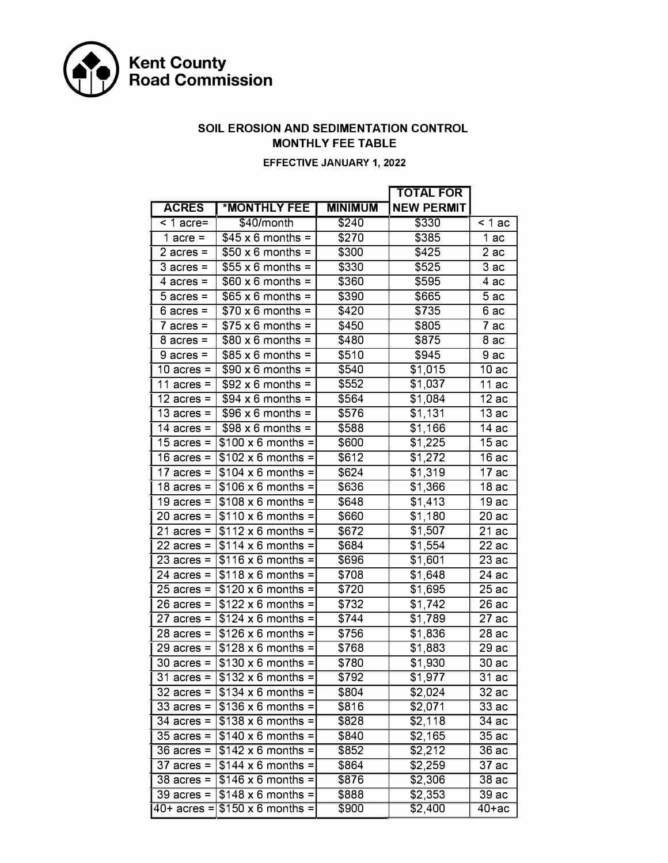

## **SOIL EROSION AND SEDIMENTATION CONTROL MONTHLY FEE TABLE**

### **EFFECTIVE JANUARY 1, 2022**

|                      |                                               |                     | <b>TOTAL FOR</b>    |                     |
|----------------------|-----------------------------------------------|---------------------|---------------------|---------------------|
| <b>ACRES</b>         | <b>*MONTHLY FEE</b>                           | <b>MINIMUM</b>      | <b>NEW PERMIT</b>   |                     |
| $\overline{$ 1 acre= | \$40/month                                    | \$240               | \$330               | $\overline{<}$ 1 ac |
| 1 acre =             | $$45 \times 6$ months =                       | \$270               | \$385               | 1ac                 |
| $2$ acres =          | $$50 \times 6$ months =                       | \$300               | \$425               | 2ac                 |
| $3$ acres =          | $$55 x 6 months =$                            | \$330               | \$525               | 3ac                 |
| $4$ acres =          | $$60 \times 6$ months =                       | \$360               | \$595               | 4 ac                |
| $5$ acres =          | $$65 \times 6$ months =                       | \$390               | \$665               | $\overline{5}$ ac   |
| $6$ acres =          | $$70 \times 6$ months =                       | \$420               | \$735               | 6 ac                |
| $7$ acres =          | $$75 \times 6$ months =                       | \$450               | \$805               | 7 ac                |
| $8$ acres =          | $$80 \times 6$ months =                       | \$480               | \$875               | 8 ac                |
| $9$ acres =          | $$85 \times 6$ months =                       | \$510               | \$945               | 9 ac                |
| 10 $acres =$         | $$90 \times 6$ months =                       | \$540               | \$1,015             | 10ac                |
| 11 acres $=$         | $$92 \times 6$ months =                       | \$552               | \$1,037             | $\overline{1}1$ ac  |
| 12 $acres =$         | $$94 \times 6$ months =                       | \$564               | $\overline{$1,084}$ | 12ac                |
| 13 $acres =$         | $$96 \times 6$ months =                       | \$576               | \$1,131             | 13ac                |
| 14 $\arccos$ =       | $$98 \times 6$ months =                       | \$588               | \$1,166             | 14ac                |
| 15 acres $=$         | $$100 \times 6$ months =                      | \$600               | \$1,225             | 15ac                |
| 16 $\arccos$ =       | $$102 \times 6$ months =                      | \$612               | \$1,272             | 16 ac               |
| 17 $acres =$         | $5104 \times 6$ months =                      | \$624               | \$1,319             | 17 ac               |
| 18 $\arccos$ =       | $$106 \times 6$ months =                      | \$636               | \$1,366             | 18ac                |
| 19 $\arccos$ =       | $$108 \times 6$ months =                      | \$648               | \$1,413             | 19 ac               |
| $20$ acres =         | $$110 \times 6$ months =                      | \$660               | \$1,180             | 20ac                |
| $21$ acres =         | $$112 \times 6$ months =                      | \$672               | \$1,507             | 21ac                |
| 22 acres =           | $$114 \times 6$ months =                      | \$684               | \$1,554             | 22ac                |
| $23$ acres =         | $$116 \times 6$ months =                      | \$696               | \$1,601             | 23 ac               |
| 24 acres =           | $$118 \times 6$ months =                      | \$708               | \$1,648             | 24 ac               |
| $25$ acres =         | $$120 \times 6$ months =                      | \$720               | \$1,695             | 25 ac               |
| $26$ acres =         | $$122 \times 6$ months =                      | \$732               | \$1,742             | 26 ac               |
| $27$ acres =         | $$124 \times 6$ months =                      | \$744               | \$1,789             | 27 ac               |
| $28$ acres =         | $$126 \times 6$ months =                      | \$756               | \$1,836             | 28 ac               |
| $29$ acres =         | $$128 \times 6$ months =                      | \$768               | \$1,883             | 29ac                |
| $30$ acres =         | $$130 \times 6$ months =                      | \$780               | \$1,930             | 30 ac               |
|                      | $31$ acres = $\sqrt{$132 \times 6}$$ months = | $\frac{1}{1}$ \$792 | \$1,977             | 31ac                |
|                      | 32 acres = $ $134 \times 6$ months =          | \$804               | \$2,024             | 32 ac               |
| $33$ acres =         | $$136 \times 6$ months =                      | \$816               | \$2,071             | 33 ac               |
| $34$ acres =         | $\frac{1}{3138} \times 6$ months =            | \$828               | \$2,118             | 34 ac               |
|                      | 35 acres = $ $140 \times 6$ months =          | \$840               | \$2,165             | 35 ac               |
|                      | 36 acres = $ $142 \times 6$ months =          | \$852               | \$2,212             | 36 ac               |
| 37 acres = $ $       | $\vert$ \$144 x 6 months =                    | \$864               | \$2,259             | 37 ac               |
|                      | 38 acres = $ $146 \times 6$ months =          | \$876               | \$2,306             | 38 ac               |
|                      | 39 acres = $ $148 \times 6$ months =          | \$888               | \$2,353             | 39 ac               |
|                      | 40+ acres = $$150 \times 6$ months =          | \$900               | \$2,400             | 40+ас               |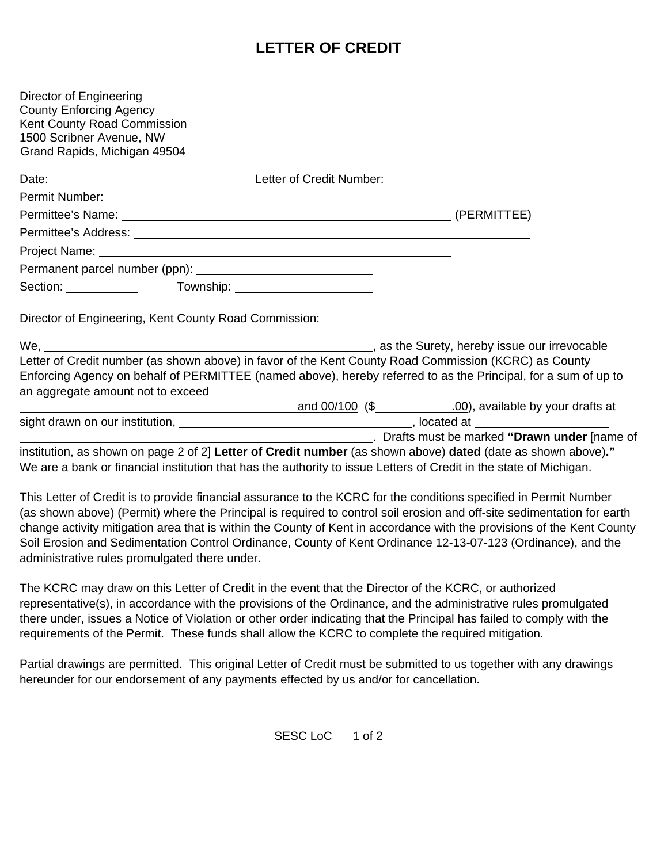# **LETTER OF CREDIT**

| Grand Rapids, Michigan 49504                          |                                                                                                                |  |
|-------------------------------------------------------|----------------------------------------------------------------------------------------------------------------|--|
| Permit Number: __________________                     |                                                                                                                |  |
|                                                       |                                                                                                                |  |
|                                                       |                                                                                                                |  |
|                                                       |                                                                                                                |  |
|                                                       |                                                                                                                |  |
|                                                       |                                                                                                                |  |
|                                                       | Section: ______________  Township: _________________________                                                   |  |
|                                                       |                                                                                                                |  |
|                                                       | Letter of Credit number (as shown above) in favor of the Kent County Road Commission (KCRC) as County          |  |
| Director of Engineering, Kent County Road Commission: | Enforcing Agency on behalf of PERMITTEE (named above), hereby referred to as the Principal, for a sum of up to |  |
| an aggregate amount not to exceed                     |                                                                                                                |  |

 $\Sigma$  Detail assurance to the KCRC for the conditions specified in  $\Sigma$ (as shown above) (Permit) where the Principal is required to control soil erosion and off-site sedimentation for earth change activity mitigation area that is within the County of Kent in accordance with the provisions of the Kent County Soil Erosion and Sedimentation Control Ordinance, County of Kent Ordinance 12-13-07-123 (Ordinance), and the administrative rules promulgated there under.

The KCRC may draw on this Letter of Credit in the event that the Director of the KCRC, or authorized representative(s), in accordance with the provisions of the Ordinance, and the administrative rules promulgated there under, issues a Notice of Violation or other order indicating that the Principal has failed to comply with the requirements of the Permit. These funds shall allow the KCRC to complete the required mitigation.

Partial drawings are permitted. This original Letter of Credit must be submitted to us together with any drawings hereunder for our endorsement of any payments effected by us and/or for cancellation.

SESC LoC 1 of 2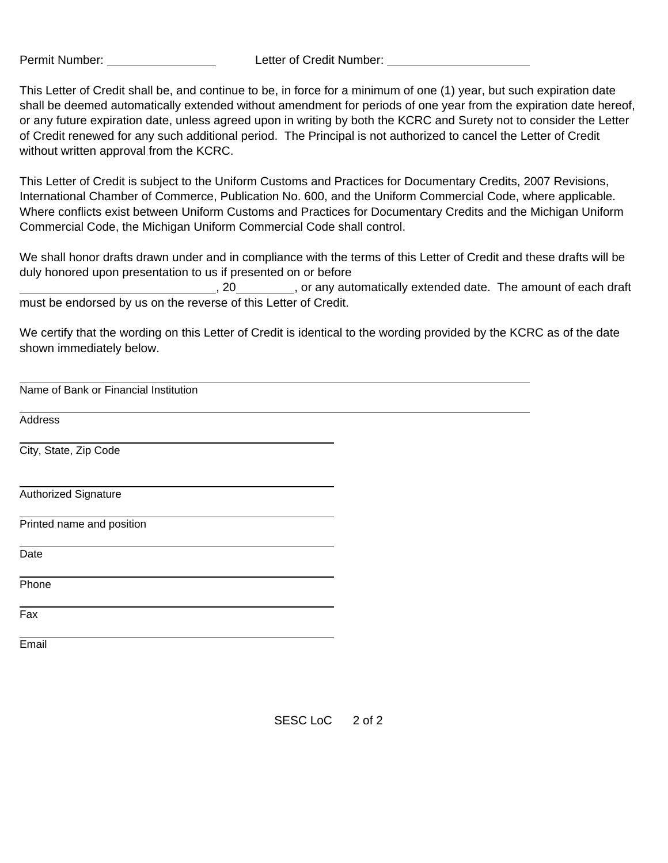Permit Number: Letter of Credit Number:

This Letter of Credit shall be, and continue to be, in force for a minimum of one (1) year, but such expiration date shall be deemed automatically extended without amendment for periods of one year from the expiration date hereof, or any future expiration date, unless agreed upon in writing by both the KCRC and Surety not to consider the Letter of Credit renewed for any such additional period. The Principal is not authorized to cancel the Letter of Credit without written approval from the KCRC.

This Letter of Credit is subject to the Uniform Customs and Practices for Documentary Credits, 2007 Revisions, International Chamber of Commerce, Publication No. 600, and the Uniform Commercial Code, where applicable. Where conflicts exist between Uniform Customs and Practices for Documentary Credits and the Michigan Uniform Commercial Code, the Michigan Uniform Commercial Code shall control.

We shall honor drafts drawn under and in compliance with the terms of this Letter of Credit and these drafts will be duly honored upon presentation to us if presented on or before

, 20 , or any automatically extended date. The amount of each draft must be endorsed by us on the reverse of this Letter of Credit.

We certify that the wording on this Letter of Credit is identical to the wording provided by the KCRC as of the date shown immediately below.

Name of Bank or Financial Institution

**Address** 

City, State, Zip Code

Authorized Signature

Printed name and position

Date

Phone

Fax

Email

SESC LoC 2 of 2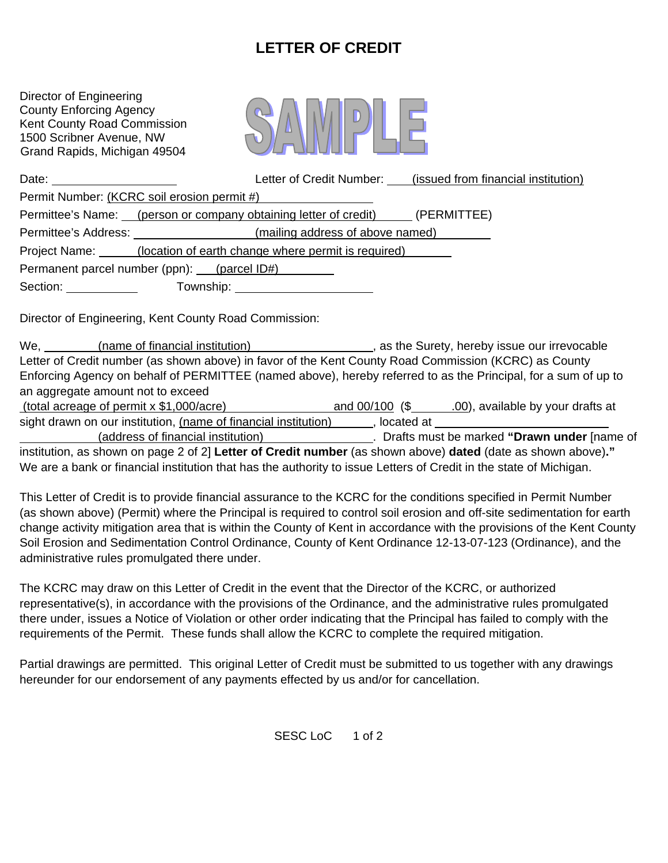# **LETTER OF CREDIT**

Director of Engineering County Enforcing Agency Kent County Road Commission 1500 Scribner Avenue, NW Grand Rapids, Michigan 49504



| Date: $\frac{1}{\sqrt{1-\frac{1}{2}}}\frac{1}{\sqrt{1-\frac{1}{2}}}\frac{1}{\sqrt{1-\frac{1}{2}}}\frac{1}{\sqrt{1-\frac{1}{2}}}\frac{1}{\sqrt{1-\frac{1}{2}}}\frac{1}{\sqrt{1-\frac{1}{2}}}\frac{1}{\sqrt{1-\frac{1}{2}}}\frac{1}{\sqrt{1-\frac{1}{2}}}\frac{1}{\sqrt{1-\frac{1}{2}}}\frac{1}{\sqrt{1-\frac{1}{2}}}\frac{1}{\sqrt{1-\frac{1}{2}}}\frac{1}{\sqrt{1-\frac{1}{2}}}\frac{1}{\sqrt{1-\frac{1}{2}}}\frac{1}{\$ | Letter of Credit Number: ____(issued from financial institution)             |  |
|--------------------------------------------------------------------------------------------------------------------------------------------------------------------------------------------------------------------------------------------------------------------------------------------------------------------------------------------------------------------------------------------------------------------------|------------------------------------------------------------------------------|--|
|                                                                                                                                                                                                                                                                                                                                                                                                                          | Permit Number: (KCRC soil erosion permit #)                                  |  |
|                                                                                                                                                                                                                                                                                                                                                                                                                          | Permittee's Name: (person or company obtaining letter of credit) (PERMITTEE) |  |
|                                                                                                                                                                                                                                                                                                                                                                                                                          | (mailing address of above named)                                             |  |
|                                                                                                                                                                                                                                                                                                                                                                                                                          | Project Name: ______(location of earth change where permit is required)      |  |
| Permanent parcel number (ppn): (parcel ID#)                                                                                                                                                                                                                                                                                                                                                                              |                                                                              |  |
| Section: ____________                                                                                                                                                                                                                                                                                                                                                                                                    | Township: __________________________                                         |  |

Director of Engineering, Kent County Road Commission:

We, **(name of financial institution)** , as the Surety, hereby issue our irrevocable Letter of Credit number (as shown above) in favor of the Kent County Road Commission (KCRC) as County Enforcing Agency on behalf of PERMITTEE (named above), hereby referred to as the Principal, for a sum of up to an aggregate amount not to exceed

| (total acreage of permit $x$ \$1,000/acre)                      | and $00/100$ (\$ | .00), available by your drafts at |
|-----------------------------------------------------------------|------------------|-----------------------------------|
| sight drawn on our institution, (name of financial institution) | located at       |                                   |

(address of financial institution) . Drafts must be marked **"Drawn under** [name of institution, as shown on page 2 of 2] **Letter of Credit number** (as shown above) **dated** (date as shown above)**."** We are a bank or financial institution that has the authority to issue Letters of Credit in the state of Michigan.

This Letter of Credit is to provide financial assurance to the KCRC for the conditions specified in Permit Number (as shown above) (Permit) where the Principal is required to control soil erosion and off-site sedimentation for earth change activity mitigation area that is within the County of Kent in accordance with the provisions of the Kent County Soil Erosion and Sedimentation Control Ordinance, County of Kent Ordinance 12-13-07-123 (Ordinance), and the administrative rules promulgated there under.

The KCRC may draw on this Letter of Credit in the event that the Director of the KCRC, or authorized representative(s), in accordance with the provisions of the Ordinance, and the administrative rules promulgated there under, issues a Notice of Violation or other order indicating that the Principal has failed to comply with the requirements of the Permit. These funds shall allow the KCRC to complete the required mitigation.

Partial drawings are permitted. This original Letter of Credit must be submitted to us together with any drawings hereunder for our endorsement of any payments effected by us and/or for cancellation.

SESC LoC 1 of 2